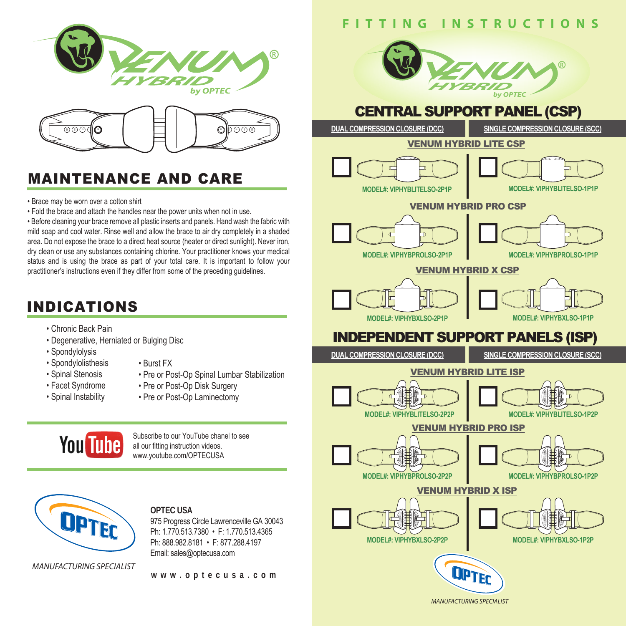



# MAINTENANCE AND CARE

- Brace may be worn over a cotton shirt
- Fold the brace and attach the handles near the power units when not in use.

• Before cleaning your brace remove all plastic inserts and panels. Hand wash the fabric with mild soap and cool water. Rinse well and allow the brace to air dry completely in a shaded area. Do not expose the brace to a direct heat source (heater or direct sunlight). Never iron, dry clean or use any substances containing chlorine. Your practitioner knows your medical status and is using the brace as part of your total care. It is important to follow your practitioner's instructions even if they differ from some of the preceding guidelines.

## INDICATIONS

- Chronic Back Pain
- Degenerative, Herniated or Bulging Disc
- Spondylolysis
- Burst FX
- Spondylolisthesis • Spinal Stenosis
- Facet Syndrome
- Spinal Instability
- 
- Pre or Post-Op Spinal Lumbar Stabilization
- Pre or Post-Op Disk Surgery
- Pre or Post-Op Laminectomy



Subscribe to our YouTube chanel to see all our fitting instruction videos. www.youtube.com/OPTECUSA



### **OPTEC USA**

975 Progress Circle Lawrenceville GA 30043 Ph: 1.770.513.7380 • F: 1.770.513.4365 Ph: 888.982.8181 • F: 877.288.4197 Email: sales@optecusa.com

*MANUFACTURING SPECIALIST*

#### **www.optecusa.com**





*MANUFACTURING SPECIALIST*

OPTEC